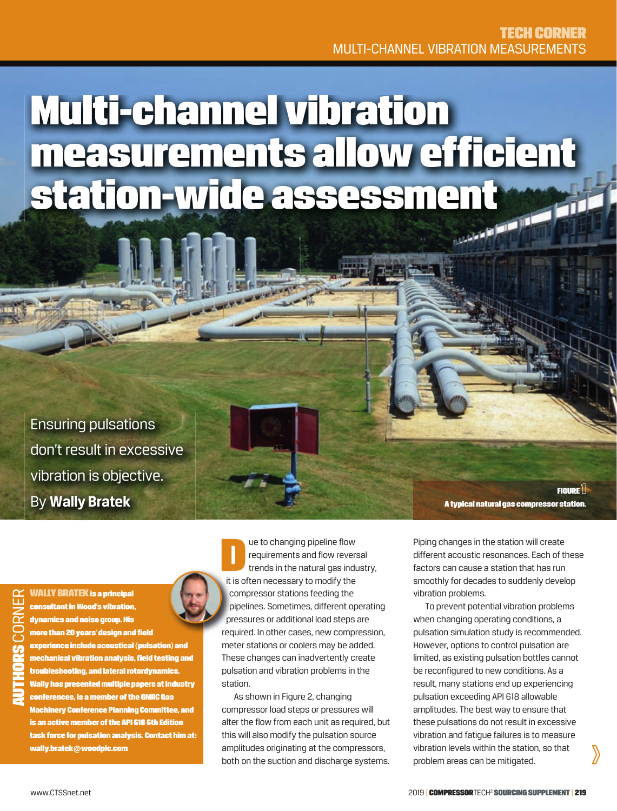# Multi-channel vibration measurements allow efficient station-wide assessment

 $\rightarrow 5$ 

Ensuring pulsations don't result in excessive vibration is objective. By **Wally Bratek**

WALLY BRATEK is a principal consultant in Wood's vibration, dynamics and noise group. His more than 20 years' design and field experience include acoustical (pulsation) and mechanical vibration analysis, field testing and troubleshooting, and lateral rotordynamics. Wally has presented multiple papers at industry conferences, is a member of the GMRC Gas Machinery Conference Planning Committee, and is an active member of the API 618 6th Edition task force for pulsation analysis. Contact him at: wally.bratek**@**woodplc.com



Later to changing pipeline flow<br>requirements and flow reverse<br>trends in the natural gas induction<br>it is often pecessary to modify the requirements and flow reversal trends in the natural gas industry, it is often necessary to modify the compressor stations feeding the c pipelines. Sometimes, different operating p pressures or additional load steps are pr required. In other cases, new compression, req meter stations or coolers may be added. These changes can inadvertently create pulsation and vibration problems in the station.

As shown in Figure 2, changing compressor load steps or pressures will alter the flow from each unit as required, but this will also modify the pulsation source amplitudes originating at the compressors, both on the suction and discharge systems.

FIGURE<sup>1</sup> A typical natural gas compressor station.

Piping changes in the station will create different acoustic resonances. Each of these factors can cause a station that has run smoothly for decades to suddenly develop vibration problems.

To prevent potential vibration problems when changing operating conditions, a pulsation simulation study is recommended. However, options to control pulsation are limited, as existing pulsation bottles cannot be reconfigured to new conditions. As a result, many stations end up experiencing pulsation exceeding API 618 allowable amplitudes. The best way to ensure that these pulsations do not result in excessive vibration and fatigue failures is to measure vibration levels within the station, so that problem areas can be mitigated.

 $\sum$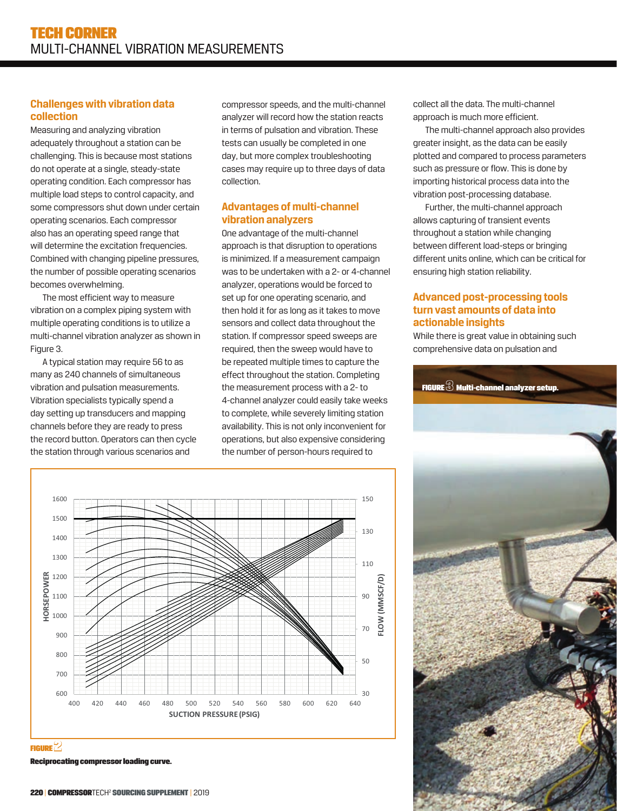#### **Challenges with vibration data collection**

Measuring and analyzing vibration adequately throughout a station can be challenging. This is because most stations do not operate at a single, steady-state operating condition. Each compressor has multiple load steps to control capacity, and some compressors shut down under certain operating scenarios. Each compressor also has an operating speed range that will determine the excitation frequencies. Combined with changing pipeline pressures, the number of possible operating scenarios becomes overwhelming.

The most efficient way to measure vibration on a complex piping system with multiple operating conditions is to utilize a multi-channel vibration analyzer as shown in Figure 3.

A typical station may require 56 to as many as 240 channels of simultaneous vibration and pulsation measurements. Vibration specialists typically spend a day setting up transducers and mapping channels before they are ready to press the record button. Operators can then cycle the station through various scenarios and

compressor speeds, and the multi-channel analyzer will record how the station reacts in terms of pulsation and vibration. These tests can usually be completed in one day, but more complex troubleshooting cases may require up to three days of data collection.

### **Advantages of multi-channel vibration analyzers**

One advantage of the multi-channel approach is that disruption to operations is minimized. If a measurement campaign was to be undertaken with a 2- or 4-channel analyzer, operations would be forced to set up for one operating scenario, and then hold it for as long as it takes to move sensors and collect data throughout the station. If compressor speed sweeps are required, then the sweep would have to be repeated multiple times to capture the effect throughout the station. Completing the measurement process with a 2- to 4-channel analyzer could easily take weeks to complete, while severely limiting station availability. This is not only inconvenient for operations, but also expensive considering the number of person-hours required to

collect all the data. The multi-channel approach is much more efficient.

The multi-channel approach also provides greater insight, as the data can be easily plotted and compared to process parameters such as pressure or flow. This is done by importing historical process data into the vibration post-processing database.

Further, the multi-channel approach allows capturing of transient events throughout a station while changing between different load-steps or bringing different units online, which can be critical for ensuring high station reliability.

#### **Advanced post-processing tools turn vast amounts of data into actionable insights**

While there is great value in obtaining such comprehensive data on pulsation and





**FIGURE** $2$ 

Reciprocating compressor loading curve.